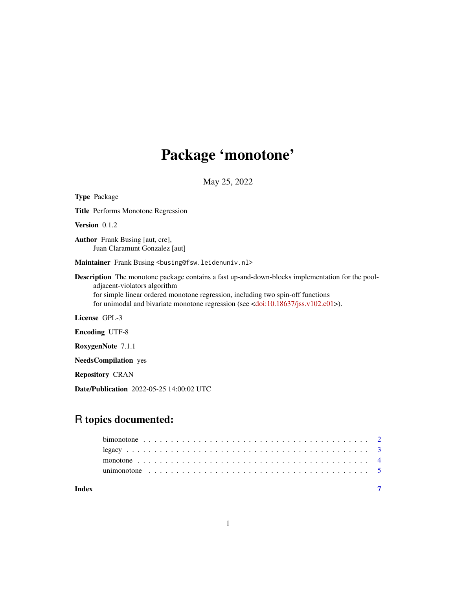## Package 'monotone'

May 25, 2022

Type Package Title Performs Monotone Regression Version 0.1.2 Author Frank Busing [aut, cre], Juan Claramunt Gonzalez [aut] Maintainer Frank Busing <br/>busing@fsw.leidenuniv.nl> Description The monotone package contains a fast up-and-down-blocks implementation for the pooladjacent-violators algorithm for simple linear ordered monotone regression, including two spin-off functions for unimodal and bivariate monotone regression (see [<doi:10.18637/jss.v102.c01>](https://doi.org/10.18637/jss.v102.c01)). License GPL-3 Encoding UTF-8 RoxygenNote 7.1.1 NeedsCompilation yes

Repository CRAN

Date/Publication 2022-05-25 14:00:02 UTC

### R topics documented:

**Index** [7](#page-6-0) **7**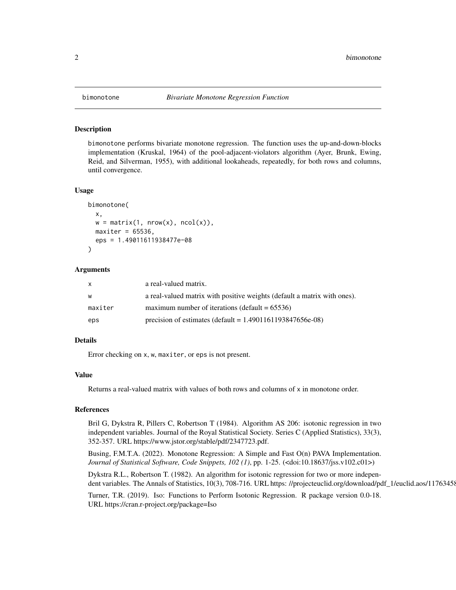<span id="page-1-0"></span>

#### Description

bimonotone performs bivariate monotone regression. The function uses the up-and-down-blocks implementation (Kruskal, 1964) of the pool-adjacent-violators algorithm (Ayer, Brunk, Ewing, Reid, and Silverman, 1955), with additional lookaheads, repeatedly, for both rows and columns, until convergence.

#### Usage

```
bimonotone(
  x,
 w = matrix(1, nrow(x), ncol(x)),maxiter = 65536,eps = 1.49011611938477e-08
)
```
#### Arguments

| X       | a real-valued matrix.                                                    |
|---------|--------------------------------------------------------------------------|
| W       | a real-valued matrix with positive weights (default a matrix with ones). |
| maxiter | maximum number of iterations (default $= 65536$ )                        |
| eps     | precision of estimates (default = $1.4901161193847656e-08$ )             |

#### Details

Error checking on x, w, maxiter, or eps is not present.

#### Value

Returns a real-valued matrix with values of both rows and columns of x in monotone order.

#### References

Bril G, Dykstra R, Pillers C, Robertson T (1984). Algorithm AS 206: isotonic regression in two independent variables. Journal of the Royal Statistical Society. Series C (Applied Statistics), 33(3), 352-357. URL https://www.jstor.org/stable/pdf/2347723.pdf.

Busing, F.M.T.A. (2022). Monotone Regression: A Simple and Fast O(n) PAVA Implementation. *Journal of Statistical Software, Code Snippets, 102 (1)*, pp. 1-25. (<doi:10.18637/jss.v102.c01>)

Dykstra R.L., Robertson T. (1982). An algorithm for isotonic regression for two or more independent variables. The Annals of Statistics, 10(3), 708-716. URL https: //projecteuclid.org/download/pdf\_1/euclid.aos/11763458

Turner, T.R. (2019). Iso: Functions to Perform Isotonic Regression. R package version 0.0-18. URL https://cran.r-project.org/package=Iso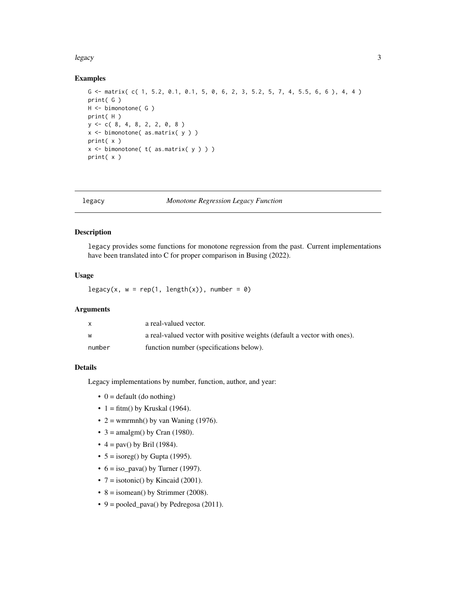#### <span id="page-2-0"></span>legacy 3

#### Examples

```
G \leftarrow matrix( c( 1, 5.2, 0.1, 0.1, 5, 0, 6, 2, 3, 5.2, 5, 7, 4, 5.5, 6, 6), 4, 4)
print( G )
H <- bimonotone( G )
print( H )
y <- c( 8, 4, 8, 2, 2, 0, 8 )
x \le bimonotone( as.matrix( y ))
print( x )
x \le bimonotone( t( as.matrix( y ) ) )
print( x )
```
legacy *Monotone Regression Legacy Function*

#### Description

legacy provides some functions for monotone regression from the past. Current implementations have been translated into C for proper comparison in Busing (2022).

#### Usage

legacy(x,  $w = rep(1, length(x))$ , number = 0)

#### Arguments

|        | a real-valued vector.                                                    |
|--------|--------------------------------------------------------------------------|
|        | a real-valued vector with positive weights (default a vector with ones). |
| number | function number (specifications below).                                  |

#### Details

Legacy implementations by number, function, author, and year:

- $\bullet$  0 = default (do nothing)
- $1 = \text{fitm}()$  by Kruskal (1964).
- $2 = \text{warmnh}()$  by van Waning (1976).
- $3 = \text{amalgm}$ () by Cran (1980).
- $4 = \text{pav}()$  by Bril (1984).
- $5 = \text{isoreg}()$  by Gupta (1995).
- $6 = iso\_pava()$  by Turner (1997).
- $7 =$  isotonic() by Kincaid (2001).
- $8 =$  isomean() by Strimmer (2008).
- $9 =$  pooled\_pava() by Pedregosa (2011).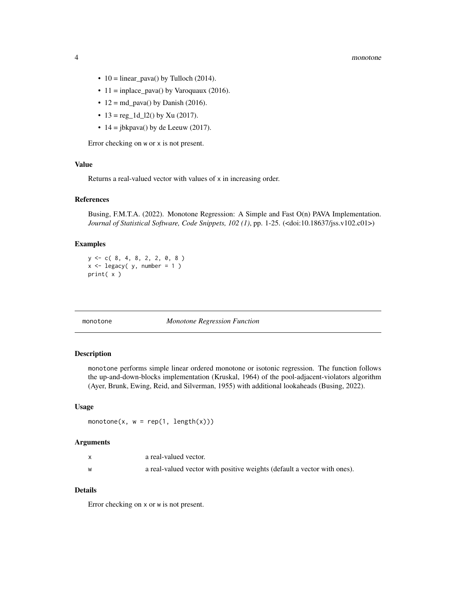#### <span id="page-3-0"></span>4 monotone

- 10 = linear\_pava() by Tulloch (2014).
- $11 = \text{inplace\_pava}()$  by Varoquaux (2016).
- $12 = md_pava()$  by Danish (2016).
- $13 = \text{reg}_1 d_12()$  by Xu (2017).
- $14 = jbkpava()$  by de Leeuw (2017).

Error checking on w or x is not present.

#### Value

Returns a real-valued vector with values of x in increasing order.

#### References

Busing, F.M.T.A. (2022). Monotone Regression: A Simple and Fast O(n) PAVA Implementation. *Journal of Statistical Software, Code Snippets, 102 (1)*, pp. 1-25. (<doi:10.18637/jss.v102.c01>)

#### Examples

 $y \leq -c(8, 4, 8, 2, 2, 0, 8)$  $x \leftarrow \text{legacy}( y, \text{ number} = 1 )$ print( x )

monotone *Monotone Regression Function*

#### Description

monotone performs simple linear ordered monotone or isotonic regression. The function follows the up-and-down-blocks implementation (Kruskal, 1964) of the pool-adjacent-violators algorithm (Ayer, Brunk, Ewing, Reid, and Silverman, 1955) with additional lookaheads (Busing, 2022).

#### Usage

monotone(x,  $w = rep(1, length(x)))$ 

#### Arguments

| a real-valued vector.                                                    |
|--------------------------------------------------------------------------|
| a real-valued vector with positive weights (default a vector with ones). |

#### Details

Error checking on x or w is not present.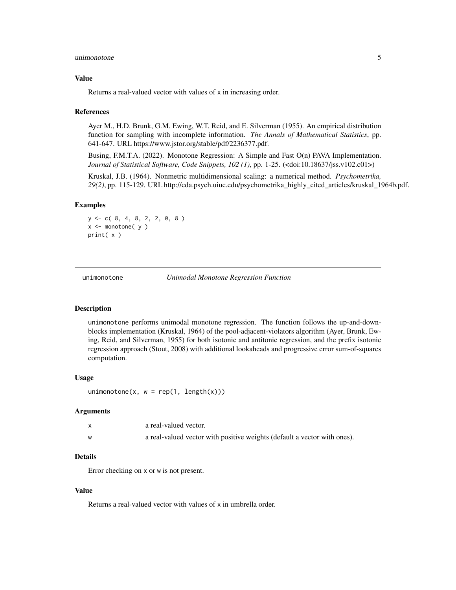#### <span id="page-4-0"></span>unimonotone 5

#### Value

Returns a real-valued vector with values of x in increasing order.

#### References

Ayer M., H.D. Brunk, G.M. Ewing, W.T. Reid, and E. Silverman (1955). An empirical distribution function for sampling with incomplete information. *The Annals of Mathematical Statistics*, pp. 641-647. URL https://www.jstor.org/stable/pdf/2236377.pdf.

Busing, F.M.T.A. (2022). Monotone Regression: A Simple and Fast O(n) PAVA Implementation. *Journal of Statistical Software, Code Snippets, 102 (1)*, pp. 1-25. (<doi:10.18637/jss.v102.c01>)

Kruskal, J.B. (1964). Nonmetric multidimensional scaling: a numerical method. *Psychometrika, 29(2)*, pp. 115-129. URL http://cda.psych.uiuc.edu/psychometrika\_highly\_cited\_articles/kruskal\_1964b.pdf.

#### Examples

y <- c( 8, 4, 8, 2, 2, 0, 8 )  $x \le -$  monotone( $y$ ) print( x )

unimonotone *Unimodal Monotone Regression Function*

#### **Description**

unimonotone performs unimodal monotone regression. The function follows the up-and-downblocks implementation (Kruskal, 1964) of the pool-adjacent-violators algorithm (Ayer, Brunk, Ewing, Reid, and Silverman, 1955) for both isotonic and antitonic regression, and the prefix isotonic regression approach (Stout, 2008) with additional lookaheads and progressive error sum-of-squares computation.

#### Usage

```
unimonotone(x, w = rep(1, length(x)))
```
#### Arguments

| a real-valued vector.                                                    |
|--------------------------------------------------------------------------|
| a real-valued vector with positive weights (default a vector with ones). |

#### **Details**

Error checking on x or w is not present.

#### Value

Returns a real-valued vector with values of x in umbrella order.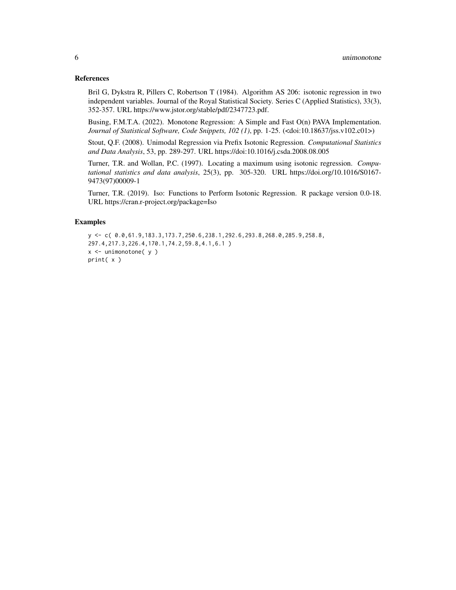#### References

Bril G, Dykstra R, Pillers C, Robertson T (1984). Algorithm AS 206: isotonic regression in two independent variables. Journal of the Royal Statistical Society. Series C (Applied Statistics), 33(3), 352-357. URL https://www.jstor.org/stable/pdf/2347723.pdf.

Busing, F.M.T.A. (2022). Monotone Regression: A Simple and Fast O(n) PAVA Implementation. *Journal of Statistical Software, Code Snippets, 102 (1)*, pp. 1-25. (<doi:10.18637/jss.v102.c01>)

Stout, Q.F. (2008). Unimodal Regression via Prefix Isotonic Regression. *Computational Statistics and Data Analysis*, 53, pp. 289-297. URL https://doi:10.1016/j.csda.2008.08.005

Turner, T.R. and Wollan, P.C. (1997). Locating a maximum using isotonic regression. *Computational statistics and data analysis*, 25(3), pp. 305-320. URL https://doi.org/10.1016/S0167- 9473(97)00009-1

Turner, T.R. (2019). Iso: Functions to Perform Isotonic Regression. R package version 0.0-18. URL https://cran.r-project.org/package=Iso

#### Examples

```
y <- c( 0.0,61.9,183.3,173.7,250.6,238.1,292.6,293.8,268.0,285.9,258.8,
297.4,217.3,226.4,170.1,74.2,59.8,4.1,6.1 )
x \le - unimonotone(y)
print( x )
```